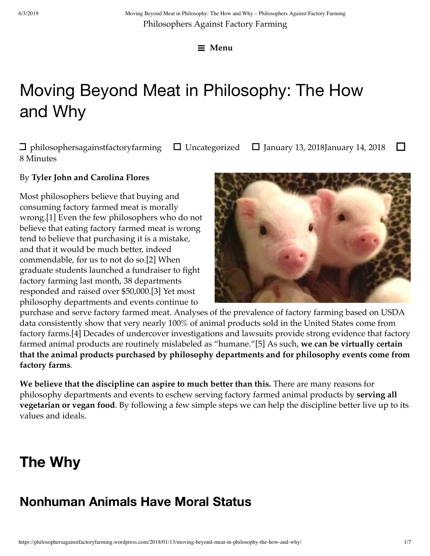☰ **Menu**

# Moving Beyond Meat in Philosophy: The How and Why

 $\Box$  philosophersagainstfactoryfarming  $\Box$  Uncategorized  $\Box$  January 13, 2018January 14, 2018  $\Box$ 8 Minutes

#### By **Tyler John and Carolina Flores**

Most philosophers believe that buying and consuming factory farmed meat is morally wrong.[1] Even the few philosophers who do not believe that eating factory farmed meat is wrong tend to believe that purchasing it is a mistake, and that it would be much better, indeed commendable, for us to not do so.[2] When graduate students launched a fundraiser to fight factory farming last month, 38 departments responded and raised over \$50,000.[3] Yet most philosophy departments and events continue to



purchase and serve factory farmed meat. Analyses of the prevalence of factory farming based on USDA data consistently show that very nearly 100% of animal products sold in the United States come from factory farms.[4] Decades of undercover investigations and lawsuits provide strong evidence that factory farmed animal products are routinely mislabeled as "humane."[5] As such, **we can be virtually certain that the animal products purchased by philosophy departments and for philosophy events come from factory farms**.

**We believe that the discipline can aspire to much better than this.** There are many reasons for philosophy departments and events to eschew serving factory farmed animal products by **serving all vegetarian or vegan food**. By following a few simple steps we can help the discipline better live up to its values and ideals.

## **The Why**

## **Nonhuman Animals Have Moral Status**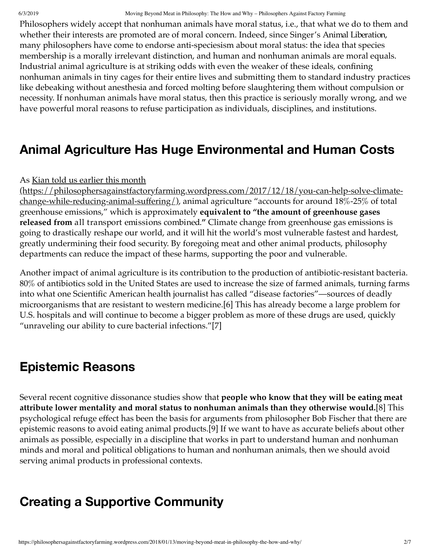#### 6/3/2019 Moving Beyond Meat in Philosophy: The How and Why – Philosophers Against Factory Farming

Philosophers widely accept that nonhuman animals have moral status, i.e., that what we do to them and whether their interests are promoted are of moral concern. Indeed, since Singer's Animal Liberation, many philosophers have come to endorse anti-speciesism about moral status: the idea that species membership is a morally irrelevant distinction, and human and nonhuman animals are moral equals. Industrial animal agriculture is at striking odds with even the weaker of these ideals, confining nonhuman animals in tiny cages for their entire lives and submitting them to standard industry practices like debeaking without anesthesia and forced molting before slaughtering them without compulsion or necessity. If nonhuman animals have moral status, then this practice is seriously morally wrong, and we have powerful moral reasons to refuse participation as individuals, disciplines, and institutions.

### **Animal Agriculture Has Huge Environmental and Human Costs**

#### As Kian told us earlier this month

(https://philosophersagainstfactoryfarming.wordpress.com/2017/12/18/you-can-help-solve-climatechange-while-reducing-animal-suffering/), animal agriculture "accounts for around 18%-25% of total greenhouse emissions," which is approximately **equivalent to "the amount of greenhouse gases released from** all transport emissions combined.**"** Climate change from greenhouse gas emissions is going to drastically reshape our world, and it will hit the world's most vulnerable fastest and hardest, greatly undermining their food security. By foregoing meat and other animal products, philosophy departments can reduce the impact of these harms, supporting the poor and vulnerable.

Another impact of animal agriculture is its contribution to the production of antibiotic-resistant bacteria. 80% of antibiotics sold in the United States are used to increase the size of farmed animals, turning farms into what one Scientific American health journalist has called "disease factories"—sources of deadly microorganisms that are resistant to western medicine.[6] This has already become a large problem for U.S. hospitals and will continue to become a bigger problem as more of these drugs are used, quickly "unraveling our ability to cure bacterial infections."[7]

#### **Epistemic Reasons**

Several recent cognitive dissonance studies show that **people who know that they will be eating meat attribute lower mentality and moral status to nonhuman animals than they otherwise would.**[8] This psychological refuge effect has been the basis for arguments from philosopher Bob Fischer that there are epistemic reasons to avoid eating animal products.[9] If we want to have as accurate beliefs about other animals as possible, especially in a discipline that works in part to understand human and nonhuman minds and moral and political obligations to human and nonhuman animals, then we should avoid serving animal products in professional contexts.

### **Creating a Supportive Community**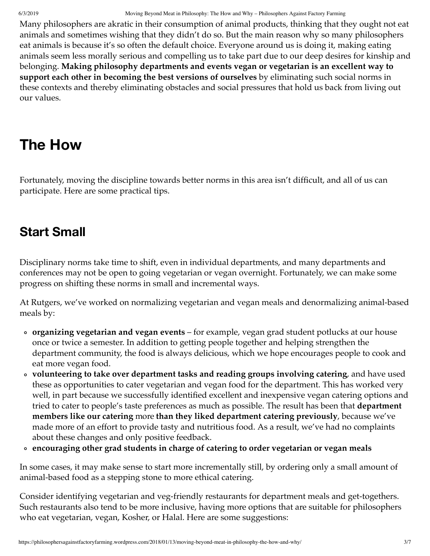Many philosophers are akratic in their consumption of animal products, thinking that they ought not eat animals and sometimes wishing that they didn't do so. But the main reason why so many philosophers eat animals is because it's so often the default choice. Everyone around us is doing it, making eating animals seem less morally serious and compelling us to take part due to our deep desires for kinship and belonging. **Making philosophy departments and events vegan or vegetarian is an excellent way to support each other in becoming the best versions of ourselves** by eliminating such social norms in these contexts and thereby eliminating obstacles and social pressures that hold us back from living out our values.

## **The How**

Fortunately, moving the discipline towards better norms in this area isn't difficult, and all of us can participate. Here are some practical tips.

### **Start Small**

Disciplinary norms take time to shift, even in individual departments, and many departments and conferences may not be open to going vegetarian or vegan overnight. Fortunately, we can make some progress on shifting these norms in small and incremental ways.

At Rutgers, we've worked on normalizing vegetarian and vegan meals and denormalizing animal-based meals by:

- **organizing vegetarian and vegan events** for example, vegan grad student potlucks at our house once or twice a semester. In addition to getting people together and helping strengthen the department community, the food is always delicious, which we hope encourages people to cook and eat more vegan food.
- **volunteering to take over department tasks and reading groups involving catering**, and have used these as opportunities to cater vegetarian and vegan food for the department. This has worked very well, in part because we successfully identified excellent and inexpensive vegan catering options and tried to cater to people's taste preferences as much as possible. The result has been that **department members like our catering** more **than they liked department catering previously**, because we've made more of an effort to provide tasty and nutritious food. As a result, we've had no complaints about these changes and only positive feedback.
- **encouraging other grad students in charge of catering to order vegetarian or vegan meals**

In some cases, it may make sense to start more incrementally still, by ordering only a small amount of animal-based food as a stepping stone to more ethical catering.

Consider identifying vegetarian and veg-friendly restaurants for department meals and get-togethers. Such restaurants also tend to be more inclusive, having more options that are suitable for philosophers who eat vegetarian, vegan, Kosher, or Halal. Here are some suggestions: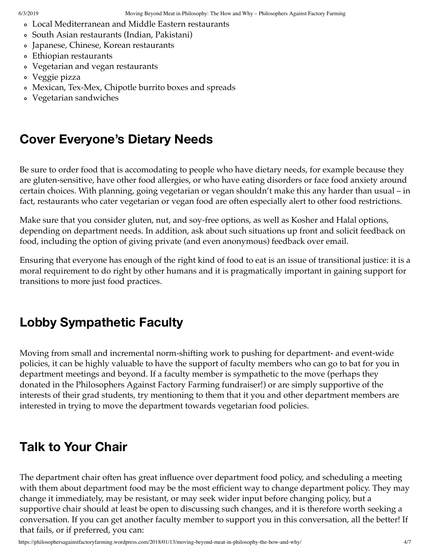- Local Mediterranean and Middle Eastern restaurants
- South Asian restaurants (Indian, Pakistani)
- Japanese, Chinese, Korean restaurants
- Ethiopian restaurants
- Vegetarian and vegan restaurants
- Veggie pizza
- Mexican, Tex-Mex, Chipotle burrito boxes and spreads
- Vegetarian sandwiches

### **Cover Everyone's Dietary Needs**

Be sure to order food that is accomodating to people who have dietary needs, for example because they are gluten-sensitive, have other food allergies, or who have eating disorders or face food anxiety around certain choices. With planning, going vegetarian or vegan shouldn't make this any harder than usual – in fact, restaurants who cater vegetarian or vegan food are often especially alert to other food restrictions.

Make sure that you consider gluten, nut, and soy-free options, as well as Kosher and Halal options, depending on department needs. In addition, ask about such situations up front and solicit feedback on food, including the option of giving private (and even anonymous) feedback over email.

Ensuring that everyone has enough of the right kind of food to eat is an issue of transitional justice: it is a moral requirement to do right by other humans and it is pragmatically important in gaining support for transitions to more just food practices.

### **Lobby Sympathetic Faculty**

Moving from small and incremental norm-shifting work to pushing for department- and event-wide policies, it can be highly valuable to have the support of faculty members who can go to bat for you in department meetings and beyond. If a faculty member is sympathetic to the move (perhaps they donated in the Philosophers Against Factory Farming fundraiser!) or are simply supportive of the interests of their grad students, try mentioning to them that it you and other department members are interested in trying to move the department towards vegetarian food policies.

### **Talk to Your Chair**

The department chair often has great influence over department food policy, and scheduling a meeting with them about department food may be the most efficient way to change department policy. They may change it immediately, may be resistant, or may seek wider input before changing policy, but a supportive chair should at least be open to discussing such changes, and it is therefore worth seeking a conversation. If you can get another faculty member to support you in this conversation, all the better! If that fails, or if preferred, you can: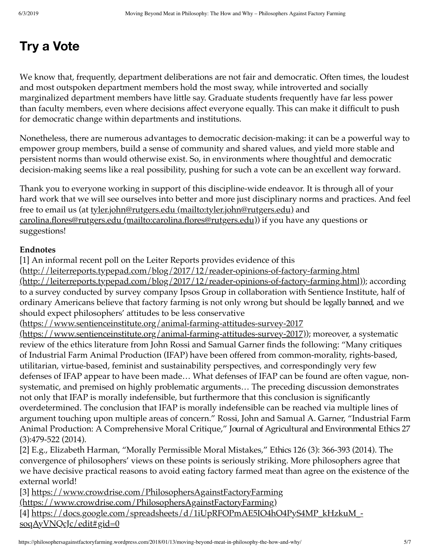### **Try a Vote**

We know that, frequently, department deliberations are not fair and democratic. Often times, the loudest and most outspoken department members hold the most sway, while introverted and socially marginalized department members have little say. Graduate students frequently have far less power than faculty members, even where decisions affect everyone equally. This can make it difficult to push for democratic change within departments and institutions.

Nonetheless, there are numerous advantages to democratic decision-making: it can be a powerful way to empower group members, build a sense of community and shared values, and yield more stable and persistent norms than would otherwise exist. So, in environments where thoughtful and democratic decision-making seems like a real possibility, pushing for such a vote can be an excellent way forward.

Thank you to everyone working in support of this discipline-wide endeavor. It is through all of your hard work that we will see ourselves into better and more just disciplinary norms and practices. And feel free to email us (at <u>tyler.john@rutgers.edu (mailto:tyler.john@rutgers.edu)</u> and carolina.flores@rutgers.edu (mailto:carolina.flores@rutgers.edu)) if you have any questions or suggestions!

#### **Endnotes**

[1] An informal recent poll on the Leiter Reports provides evidence of this

(http://leiterreports.typepad.com/blog/2017/12/reader-opinions-of-factory-farming.html (http://leiterreports.typepad.com/blog/2017/12/reader-opinions-of-factory-farming.html)); according to a survey conducted by survey company Ipsos Group in collaboration with Sentience Institute, half of ordinary Americans believe that factory farming is not only wrong but should be legally banned, and we should expect philosophers' attitudes to be less conservative

(https://www.sentienceinstitute.org/animal-farming-attitudes-survey-2017

(https://www.sentienceinstitute.org/animal-farming-attitudes-survey-2017)); moreover, a systematic review of the ethics literature from John Rossi and Samual Garner finds the following: "Many critiques of Industrial Farm Animal Production (IFAP) have been offered from common-morality, rights-based, utilitarian, virtue-based, feminist and sustainability perspectives, and correspondingly very few defenses of IFAP appear to have been made… What defenses of IFAP can be found are often vague, nonsystematic, and premised on highly problematic arguments… The preceding discussion demonstrates not only that IFAP is morally indefensible, but furthermore that this conclusion is significantly overdetermined. The conclusion that IFAP is morally indefensible can be reached via multiple lines of argument touching upon multiple areas of concern." Rossi, John and Samual A. Garner, "Industrial Farm Animal Production: A Comprehensive Moral Critique," Journal of Agricultural and Environmental Ethics 27 (3):479-522 (2014).

[2] E.g., Elizabeth Harman, "Morally Permissible Moral Mistakes," Ethics 126 (3): 366-393 (2014). The convergence of philosophers' views on these points is seriously striking. More philosophers agree that we have decisive practical reasons to avoid eating factory farmed meat than agree on the existence of the external world!

[3] https://www.crowdrise.com/PhilosophersAgainstFactoryFarming

(https://www.crowdrise.com/PhilosophersAgainstFactoryFarming)

[4] https://docs.google.com/spreadsheets/d/1iUpRFOPmAE5IO4hO4PyS4MP\_kHzkuM\_ soqAyVNQcJc/edit#gid=0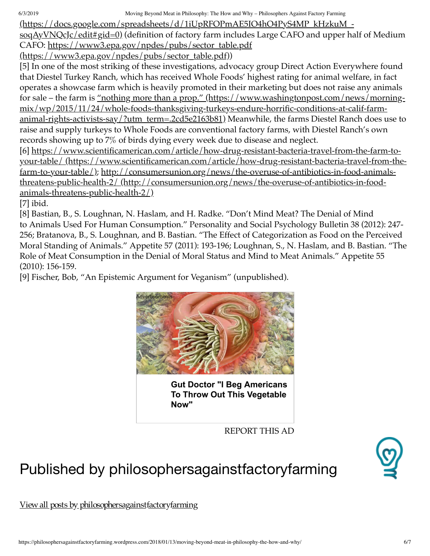6/3/2019 Moving Beyond Meat in Philosophy: The How and Why – Philosophers Against Factory Farming

(https://docs.google.com/spreadsheets/d/1iUpRFOPmAE5IO4hO4PyS4MP\_kHzkuM\_-

soqAyVNQcJc/edit#gid=0) (definition of factory farm includes Large CAFO and upper half of Medium CAFO: https://www3.epa.gov/npdes/pubs/sector\_table.pdf

 $(\text{https://www3.epa.gov/npdes/pubs/sector table.pdf}))$ 

[5] In one of the most striking of these investigations, advocacy group Direct Action Everywhere found that Diestel Turkey Ranch, which has received Whole Foods' highest rating for animal welfare, in fact operates a showcase farm which is heavily promoted in their marketing but does not raise any animals for sale – the farm is <u>"nothing more than a prop." (https://www.washingtonpost.com/news/morning-</u> mix/wp/2015/11/24/whole-foods-thanksgiving-turkeys-endure-horrific-conditions-at-calif-farmanimal-rights-activists-say/?utm\_term=.2cd5e2163b81) Meanwhile, the farms Diestel Ranch does use to raise and supply turkeys to Whole Foods are conventional factory farms, with Diestel Ranch's own records showing up to 7% of birds dying every week due to disease and neglect.

[6] https://www.scientificamerican.com/article/how-drug-resistant-bacteria-travel-from-the-farm-toyour-table/ (https://www.scientificamerican.com/article/how-drug-resistant-bacteria-travel-from-thefarm-to-your-table/); http://consumersunion.org/news/the-overuse-of-antibiotics-in-food-animalsthreatens-public-health-2/ (http://consumersunion.org/news/the-overuse-of-antibiotics-in-foodanimals-threatens-public-health-2/)

[7] ibid.

[8] Bastian, B., S. Loughnan, N. Haslam, and H. Radke. "Don't Mind Meat? The Denial of Mind to Animals Used For Human Consumption." Personality and Social Psychology Bulletin 38 (2012): 247- 256; Bratanova, B., S. Loughnan, and B. Bastian. "The Effect of Categorization as Food on the Perceived Moral Standing of Animals." Appetite 57 (2011): 193-196; Loughnan, S., N. Haslam, and B. Bastian. "The Role of Meat Consumption in the Denial of Moral Status and Mind to Meat Animals." Appetite 55 (2010): 156-159.

[9] Fischer, Bob, "An Epistemic Argument for Veganism" (unpublished).



**Gut Doctor "I Beg Americans To Throw Out This Vegetable Now"**

REPORT THIS AD

## Published by philosophersagainstfactoryfarming



View all posts by philosophersagainstfactoryfarming